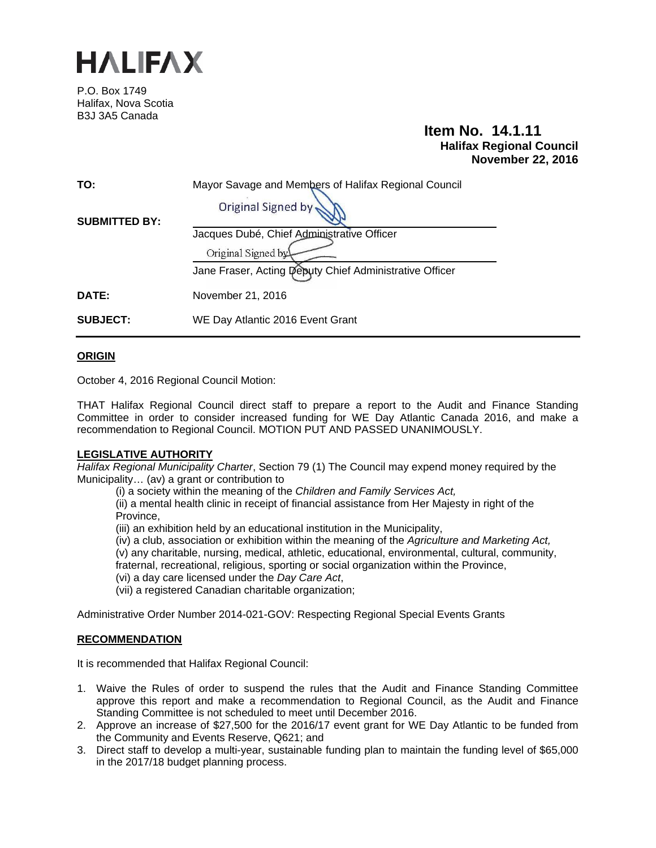

P.O. Box 1749 Halifax, Nova Scotia B3J 3A5 Canada

# **Item No. 14.1.11 Halifax Regional Council November 22, 2016**

| TO:                  | Mayor Savage and Members of Halifax Regional Council    |  |
|----------------------|---------------------------------------------------------|--|
| <b>SUBMITTED BY:</b> | Original Signed by                                      |  |
|                      | Jacques Dubé, Chief Administrative Officer              |  |
|                      | Original Signed by                                      |  |
|                      | Jane Fraser, Acting Deputy Chief Administrative Officer |  |
| <b>DATE:</b>         | November 21, 2016                                       |  |
| <b>SUBJECT:</b>      | WE Day Atlantic 2016 Event Grant                        |  |

# **ORIGIN**

October 4, 2016 Regional Council Motion:

THAT Halifax Regional Council direct staff to prepare a report to the Audit and Finance Standing Committee in order to consider increased funding for WE Day Atlantic Canada 2016, and make a recommendation to Regional Council. MOTION PUT AND PASSED UNANIMOUSLY.

## **LEGISLATIVE AUTHORITY**

*Halifax Regional Municipality Charter*, Section 79 (1) The Council may expend money required by the Municipality… (av) a grant or contribution to

(i) a society within the meaning of the *Children and Family Services Act,* 

(ii) a mental health clinic in receipt of financial assistance from Her Majesty in right of the Province,

(iii) an exhibition held by an educational institution in the Municipality,

(iv) a club, association or exhibition within the meaning of the *Agriculture and Marketing Act,* 

(v) any charitable, nursing, medical, athletic, educational, environmental, cultural, community,

fraternal, recreational, religious, sporting or social organization within the Province,

(vi) a day care licensed under the *Day Care Act*,

(vii) a registered Canadian charitable organization;

Administrative Order Number 2014-021-GOV: Respecting Regional Special Events Grants

## **RECOMMENDATION**

It is recommended that Halifax Regional Council:

- 1. Waive the Rules of order to suspend the rules that the Audit and Finance Standing Committee approve this report and make a recommendation to Regional Council, as the Audit and Finance Standing Committee is not scheduled to meet until December 2016.
- 2. Approve an increase of \$27,500 for the 2016/17 event grant for WE Day Atlantic to be funded from the Community and Events Reserve, Q621; and
- 3. Direct staff to develop a multi-year, sustainable funding plan to maintain the funding level of \$65,000 in the 2017/18 budget planning process.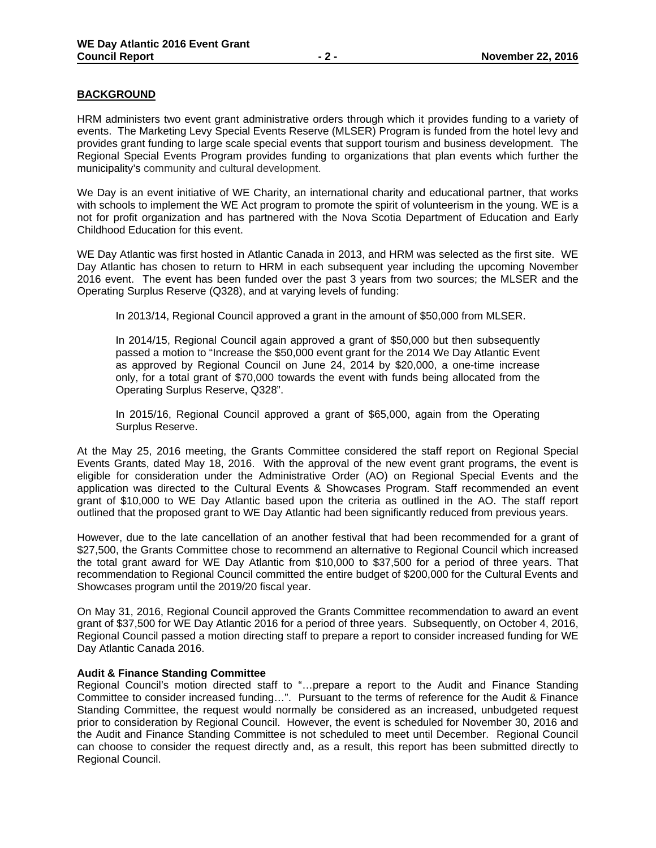# **BACKGROUND**

HRM administers two event grant administrative orders through which it provides funding to a variety of events. The Marketing Levy Special Events Reserve (MLSER) Program is funded from the hotel levy and provides grant funding to large scale special events that support tourism and business development. The Regional Special Events Program provides funding to organizations that plan events which further the municipality's community and cultural development.

We Day is an event initiative of WE Charity, an international charity and educational partner, that works with schools to implement the WE Act program to promote the spirit of volunteerism in the young. WE is a not for profit organization and has partnered with the Nova Scotia Department of Education and Early Childhood Education for this event.

WE Day Atlantic was first hosted in Atlantic Canada in 2013, and HRM was selected as the first site. WE Day Atlantic has chosen to return to HRM in each subsequent year including the upcoming November 2016 event. The event has been funded over the past 3 years from two sources; the MLSER and the Operating Surplus Reserve (Q328), and at varying levels of funding:

In 2013/14, Regional Council approved a grant in the amount of \$50,000 from MLSER.

In 2014/15, Regional Council again approved a grant of \$50,000 but then subsequently passed a motion to "Increase the \$50,000 event grant for the 2014 We Day Atlantic Event as approved by Regional Council on June 24, 2014 by \$20,000, a one-time increase only, for a total grant of \$70,000 towards the event with funds being allocated from the Operating Surplus Reserve, Q328".

In 2015/16, Regional Council approved a grant of \$65,000, again from the Operating Surplus Reserve.

At the May 25, 2016 meeting, the Grants Committee considered the staff report on Regional Special Events Grants, dated May 18, 2016. With the approval of the new event grant programs, the event is eligible for consideration under the Administrative Order (AO) on Regional Special Events and the application was directed to the Cultural Events & Showcases Program. Staff recommended an event grant of \$10,000 to WE Day Atlantic based upon the criteria as outlined in the AO. The staff report outlined that the proposed grant to WE Day Atlantic had been significantly reduced from previous years.

However, due to the late cancellation of an another festival that had been recommended for a grant of \$27,500, the Grants Committee chose to recommend an alternative to Regional Council which increased the total grant award for WE Day Atlantic from \$10,000 to \$37,500 for a period of three years. That recommendation to Regional Council committed the entire budget of \$200,000 for the Cultural Events and Showcases program until the 2019/20 fiscal year.

On May 31, 2016, Regional Council approved the Grants Committee recommendation to award an event grant of \$37,500 for WE Day Atlantic 2016 for a period of three years. Subsequently, on October 4, 2016, Regional Council passed a motion directing staff to prepare a report to consider increased funding for WE Day Atlantic Canada 2016.

## **Audit & Finance Standing Committee**

Regional Council's motion directed staff to "…prepare a report to the Audit and Finance Standing Committee to consider increased funding…". Pursuant to the terms of reference for the Audit & Finance Standing Committee, the request would normally be considered as an increased, unbudgeted request prior to consideration by Regional Council. However, the event is scheduled for November 30, 2016 and the Audit and Finance Standing Committee is not scheduled to meet until December. Regional Council can choose to consider the request directly and, as a result, this report has been submitted directly to Regional Council.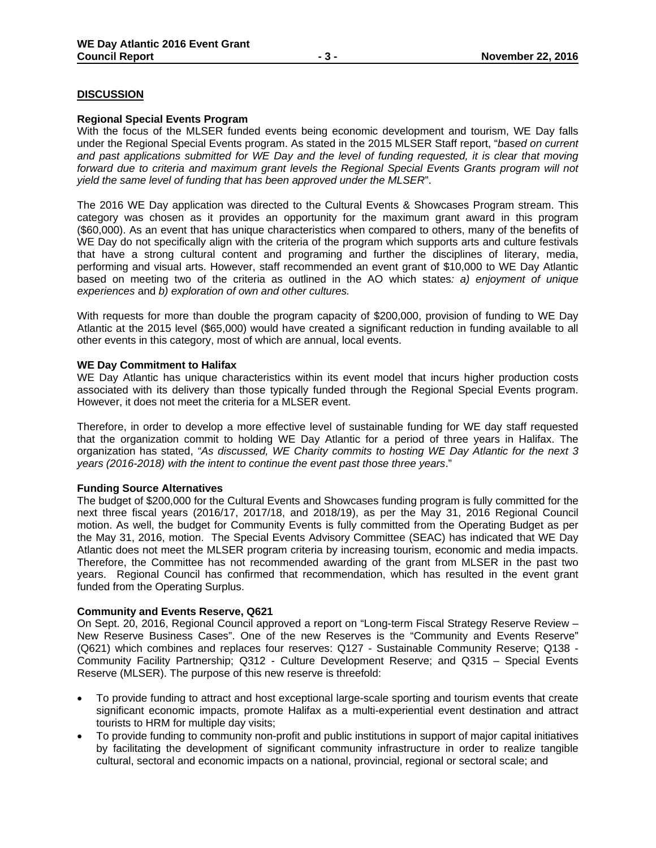# **DISCUSSION**

#### **Regional Special Events Program**

With the focus of the MLSER funded events being economic development and tourism, WE Day falls under the Regional Special Events program. As stated in the 2015 MLSER Staff report, "*based on current and past applications submitted for WE Day and the level of funding requested, it is clear that moving forward due to criteria and maximum grant levels the Regional Special Events Grants program will not yield the same level of funding that has been approved under the MLSER*".

The 2016 WE Day application was directed to the Cultural Events & Showcases Program stream. This category was chosen as it provides an opportunity for the maximum grant award in this program (\$60,000). As an event that has unique characteristics when compared to others, many of the benefits of WE Day do not specifically align with the criteria of the program which supports arts and culture festivals that have a strong cultural content and programing and further the disciplines of literary, media, performing and visual arts. However, staff recommended an event grant of \$10,000 to WE Day Atlantic based on meeting two of the criteria as outlined in the AO which states*: a) enjoyment of unique experiences* and *b) exploration of own and other cultures.* 

With requests for more than double the program capacity of \$200,000, provision of funding to WE Day Atlantic at the 2015 level (\$65,000) would have created a significant reduction in funding available to all other events in this category, most of which are annual, local events.

#### **WE Day Commitment to Halifax**

WE Day Atlantic has unique characteristics within its event model that incurs higher production costs associated with its delivery than those typically funded through the Regional Special Events program. However, it does not meet the criteria for a MLSER event.

Therefore, in order to develop a more effective level of sustainable funding for WE day staff requested that the organization commit to holding WE Day Atlantic for a period of three years in Halifax. The organization has stated, *"As discussed, WE Charity commits to hosting WE Day Atlantic for the next 3 years (2016-2018) with the intent to continue the event past those three years*."

## **Funding Source Alternatives**

The budget of \$200,000 for the Cultural Events and Showcases funding program is fully committed for the next three fiscal years (2016/17, 2017/18, and 2018/19), as per the May 31, 2016 Regional Council motion. As well, the budget for Community Events is fully committed from the Operating Budget as per the May 31, 2016, motion. The Special Events Advisory Committee (SEAC) has indicated that WE Day Atlantic does not meet the MLSER program criteria by increasing tourism, economic and media impacts. Therefore, the Committee has not recommended awarding of the grant from MLSER in the past two years. Regional Council has confirmed that recommendation, which has resulted in the event grant funded from the Operating Surplus.

## **Community and Events Reserve, Q621**

On Sept. 20, 2016, Regional Council approved a report on "Long-term Fiscal Strategy Reserve Review – New Reserve Business Cases". One of the new Reserves is the "Community and Events Reserve" (Q621) which combines and replaces four reserves: Q127 - Sustainable Community Reserve; Q138 - Community Facility Partnership; Q312 - Culture Development Reserve; and Q315 – Special Events Reserve (MLSER). The purpose of this new reserve is threefold:

- To provide funding to attract and host exceptional large-scale sporting and tourism events that create significant economic impacts, promote Halifax as a multi-experiential event destination and attract tourists to HRM for multiple day visits;
- To provide funding to community non-profit and public institutions in support of major capital initiatives by facilitating the development of significant community infrastructure in order to realize tangible cultural, sectoral and economic impacts on a national, provincial, regional or sectoral scale; and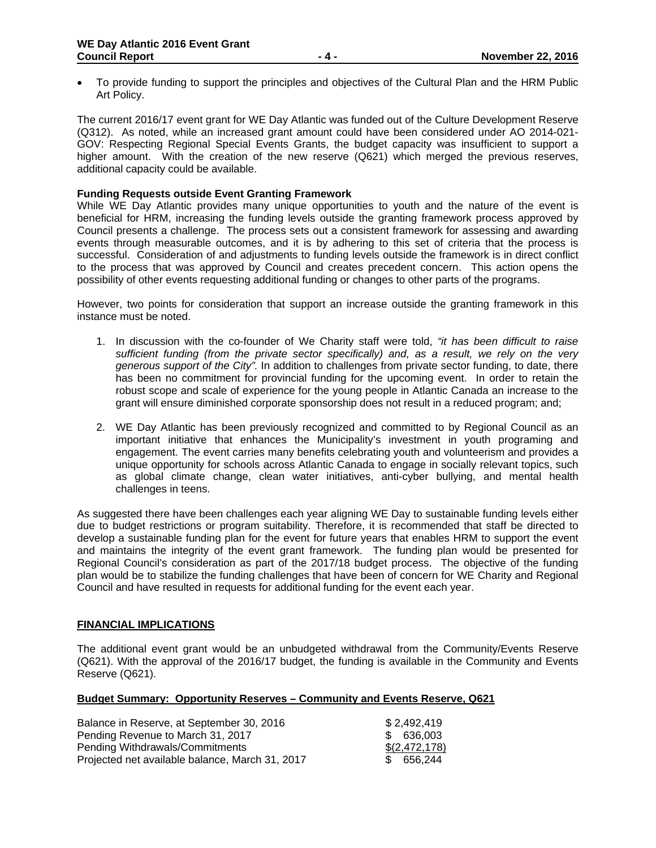To provide funding to support the principles and objectives of the Cultural Plan and the HRM Public Art Policy.

The current 2016/17 event grant for WE Day Atlantic was funded out of the Culture Development Reserve (Q312). As noted, while an increased grant amount could have been considered under AO 2014-021- GOV: Respecting Regional Special Events Grants, the budget capacity was insufficient to support a higher amount. With the creation of the new reserve (Q621) which merged the previous reserves, additional capacity could be available.

# **Funding Requests outside Event Granting Framework**

While WE Day Atlantic provides many unique opportunities to youth and the nature of the event is beneficial for HRM, increasing the funding levels outside the granting framework process approved by Council presents a challenge. The process sets out a consistent framework for assessing and awarding events through measurable outcomes, and it is by adhering to this set of criteria that the process is successful. Consideration of and adjustments to funding levels outside the framework is in direct conflict to the process that was approved by Council and creates precedent concern. This action opens the possibility of other events requesting additional funding or changes to other parts of the programs.

However, two points for consideration that support an increase outside the granting framework in this instance must be noted.

- 1. In discussion with the co-founder of We Charity staff were told, *"it has been difficult to raise sufficient funding (from the private sector specifically) and, as a result, we rely on the very generous support of the City".* In addition to challenges from private sector funding, to date, there has been no commitment for provincial funding for the upcoming event. In order to retain the robust scope and scale of experience for the young people in Atlantic Canada an increase to the grant will ensure diminished corporate sponsorship does not result in a reduced program; and;
- 2. WE Day Atlantic has been previously recognized and committed to by Regional Council as an important initiative that enhances the Municipality's investment in youth programing and engagement. The event carries many benefits celebrating youth and volunteerism and provides a unique opportunity for schools across Atlantic Canada to engage in socially relevant topics, such as global climate change, clean water initiatives, anti-cyber bullying, and mental health challenges in teens.

As suggested there have been challenges each year aligning WE Day to sustainable funding levels either due to budget restrictions or program suitability. Therefore, it is recommended that staff be directed to develop a sustainable funding plan for the event for future years that enables HRM to support the event and maintains the integrity of the event grant framework. The funding plan would be presented for Regional Council's consideration as part of the 2017/18 budget process. The objective of the funding plan would be to stabilize the funding challenges that have been of concern for WE Charity and Regional Council and have resulted in requests for additional funding for the event each year.

## **FINANCIAL IMPLICATIONS**

The additional event grant would be an unbudgeted withdrawal from the Community/Events Reserve (Q621). With the approval of the 2016/17 budget, the funding is available in the Community and Events Reserve (Q621).

#### **Budget Summary: Opportunity Reserves – Community and Events Reserve, Q621**

| Balance in Reserve, at September 30, 2016       | \$2,492,419   |
|-------------------------------------------------|---------------|
| Pending Revenue to March 31, 2017               | \$ 636,003    |
| Pending Withdrawals/Commitments                 | \$(2,472,178) |
| Projected net available balance, March 31, 2017 | \$ 656,244    |